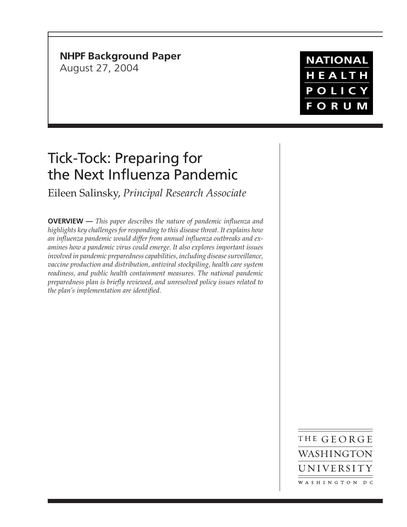# **NHPF Background Paper**

August 27, 2004

**NATIONAL** HEALTH POLICY **FORUM** 

# Tick-Tock: Preparing for the Next Influenza Pandemic

Eileen Salinsky, *Principal Research Associate*

**OVERVIEW —** *This paper describes the nature of pandemic influenza and highlights key challenges for responding to this disease threat. It explains how an influenza pandemic would differ from annual influenza outbreaks and examines how a pandemic virus could emerge. It also explores important issues involved in pandemic preparedness capabilities, including disease surveillance, vaccine production and distribution, antiviral stockpiling, health care system readiness, and public health containment measures. The national pandemic preparedness plan is briefly reviewed, and unresolved policy issues related to the plan's implementation are identified.*

> THE GEORGE WASHINGTON UNIVERSITY WASHINGTON DC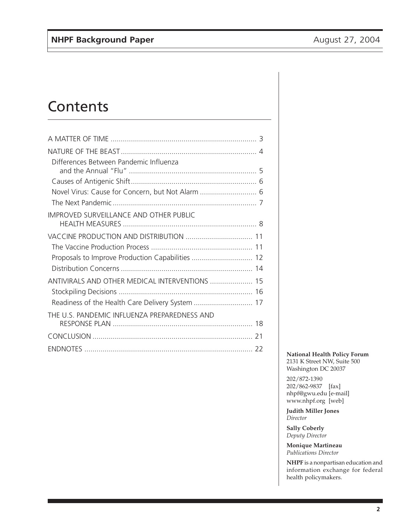# **Contents**

| Differences Between Pandemic Influenza           |    |
|--------------------------------------------------|----|
|                                                  |    |
| Novel Virus: Cause for Concern, but Not Alarm  6 |    |
|                                                  |    |
| <b>IMPROVED SURVEILLANCE AND OTHER PUBLIC</b>    |    |
|                                                  |    |
|                                                  |    |
| Proposals to Improve Production Capabilities  12 |    |
|                                                  |    |
| ANTIVIRALS AND OTHER MEDICAL INTERVENTIONS  15   |    |
|                                                  |    |
| Readiness of the Health Care Delivery System  17 |    |
| THE U.S. PANDEMIC INFLUENZA PREPAREDNESS AND     |    |
|                                                  | 21 |
|                                                  |    |

**National Health Policy Forum** 2131 K Street NW, Suite 500 Washington DC 20037

202/872-1390 202/862-9837 [fax] nhpf@gwu.edu [e-mail] www.nhpf.org [web]

**Judith Miller Jones** *Director*

**Sally Coberly** *Deputy Director*

**Monique Martineau** *Publications Director*

**NHPF** is a nonpartisan education and information exchange for federal health policymakers.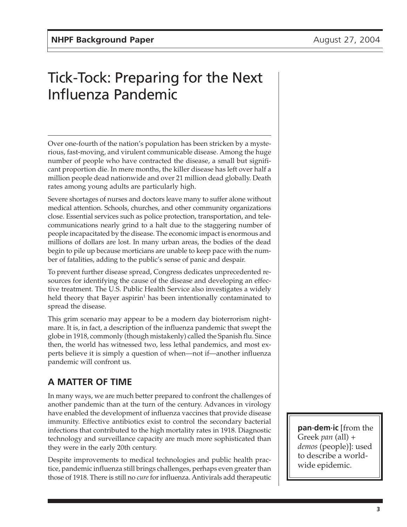# Tick-Tock: Preparing for the Next Influenza Pandemic

Over one-fourth of the nation's population has been stricken by a mysterious, fast-moving, and virulent communicable disease. Among the huge number of people who have contracted the disease, a small but significant proportion die. In mere months, the killer disease has left over half a million people dead nationwide and over 21 million dead globally. Death rates among young adults are particularly high.

Severe shortages of nurses and doctors leave many to suffer alone without medical attention. Schools, churches, and other community organizations close. Essential services such as police protection, transportation, and telecommunications nearly grind to a halt due to the staggering number of people incapacitated by the disease. The economic impact is enormous and millions of dollars are lost. In many urban areas, the bodies of the dead begin to pile up because morticians are unable to keep pace with the number of fatalities, adding to the public's sense of panic and despair.

To prevent further disease spread, Congress dedicates unprecedented resources for identifying the cause of the disease and developing an effective treatment. The U.S. Public Health Service also investigates a widely held theory that Bayer aspirin<sup>1</sup> has been intentionally contaminated to spread the disease.

This grim scenario may appear to be a modern day bioterrorism nightmare. It is, in fact, a description of the influenza pandemic that swept the globe in 1918, commonly (though mistakenly) called the Spanish flu. Since then, the world has witnessed two, less lethal pandemics, and most experts believe it is simply a question of when—not if—another influenza pandemic will confront us.

# **A MATTER OF TIME**

In many ways, we are much better prepared to confront the challenges of another pandemic than at the turn of the century. Advances in virology have enabled the development of influenza vaccines that provide disease immunity. Effective antibiotics exist to control the secondary bacterial infections that contributed to the high mortality rates in 1918. Diagnostic technology and surveillance capacity are much more sophisticated than they were in the early 20th century.

Despite improvements to medical technologies and public health practice, pandemic influenza still brings challenges, perhaps even greater than those of 1918. There is still no *cure* for influenza. Antivirals add therapeutic

**pan·dem·ic** [from the Greek *pan* (all) *+ demos* (people)]: used to describe a worldwide epidemic.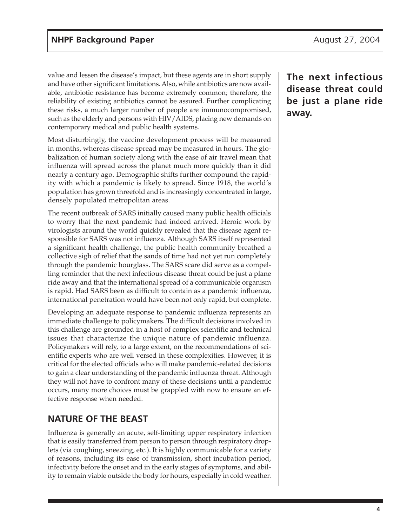value and lessen the disease's impact, but these agents are in short supply and have other significant limitations. Also, while antibiotics are now available, antibiotic resistance has become extremely common; therefore, the reliability of existing antibiotics cannot be assured. Further complicating these risks, a much larger number of people are immunocompromised, such as the elderly and persons with HIV/AIDS, placing new demands on contemporary medical and public health systems.

Most disturbingly, the vaccine development process will be measured in months, whereas disease spread may be measured in hours. The globalization of human society along with the ease of air travel mean that influenza will spread across the planet much more quickly than it did nearly a century ago. Demographic shifts further compound the rapidity with which a pandemic is likely to spread. Since 1918, the world's population has grown threefold and is increasingly concentrated in large, densely populated metropolitan areas.

The recent outbreak of SARS initially caused many public health officials to worry that the next pandemic had indeed arrived. Heroic work by virologists around the world quickly revealed that the disease agent responsible for SARS was not influenza. Although SARS itself represented a significant health challenge, the public health community breathed a collective sigh of relief that the sands of time had not yet run completely through the pandemic hourglass. The SARS scare did serve as a compelling reminder that the next infectious disease threat could be just a plane ride away and that the international spread of a communicable organism is rapid. Had SARS been as difficult to contain as a pandemic influenza, international penetration would have been not only rapid, but complete.

Developing an adequate response to pandemic influenza represents an immediate challenge to policymakers. The difficult decisions involved in this challenge are grounded in a host of complex scientific and technical issues that characterize the unique nature of pandemic influenza. Policymakers will rely, to a large extent, on the recommendations of scientific experts who are well versed in these complexities. However, it is critical for the elected officials who will make pandemic-related decisions to gain a clear understanding of the pandemic influenza threat. Although they will not have to confront many of these decisions until a pandemic occurs, many more choices must be grappled with now to ensure an effective response when needed.

# **NATURE OF THE BEAST**

Influenza is generally an acute, self-limiting upper respiratory infection that is easily transferred from person to person through respiratory droplets (via coughing, sneezing, etc.). It is highly communicable for a variety of reasons, including its ease of transmission, short incubation period, infectivity before the onset and in the early stages of symptoms, and ability to remain viable outside the body for hours, especially in cold weather.

**The next infectious disease threat could be just a plane ride away.**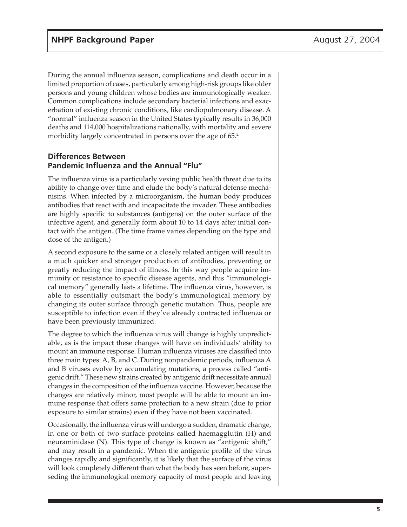During the annual influenza season, complications and death occur in a limited proportion of cases, particularly among high-risk groups like older persons and young children whose bodies are immunologically weaker. Common complications include secondary bacterial infections and exacerbation of existing chronic conditions, like cardiopulmonary disease. A "normal" influenza season in the United States typically results in 36,000 deaths and 114,000 hospitalizations nationally, with mortality and severe morbidity largely concentrated in persons over the age of 65.<sup>2</sup>

### **Differences Between Pandemic Influenza and the Annual "Flu"**

The influenza virus is a particularly vexing public health threat due to its ability to change over time and elude the body's natural defense mechanisms. When infected by a microorganism, the human body produces antibodies that react with and incapacitate the invader. These antibodies are highly specific to substances (antigens) on the outer surface of the infective agent, and generally form about 10 to 14 days after initial contact with the antigen. (The time frame varies depending on the type and dose of the antigen.)

A second exposure to the same or a closely related antigen will result in a much quicker and stronger production of antibodies, preventing or greatly reducing the impact of illness. In this way people acquire immunity or resistance to specific disease agents, and this "immunological memory" generally lasts a lifetime. The influenza virus, however, is able to essentially outsmart the body's immunological memory by changing its outer surface through genetic mutation. Thus, people are susceptible to infection even if they've already contracted influenza or have been previously immunized.

The degree to which the influenza virus will change is highly unpredictable, as is the impact these changes will have on individuals' ability to mount an immune response. Human influenza viruses are classified into three main types: A, B, and C. During nonpandemic periods, influenza A and B viruses evolve by accumulating mutations, a process called "antigenic drift." These new strains created by antigenic drift necessitate annual changes in the composition of the influenza vaccine. However, because the changes are relatively minor, most people will be able to mount an immune response that offers some protection to a new strain (due to prior exposure to similar strains) even if they have not been vaccinated.

Occasionally, the influenza virus will undergo a sudden, dramatic change, in one or both of two surface proteins called haemagglutin (H) and neuraminidase (N). This type of change is known as "antigenic shift," and may result in a pandemic. When the antigenic profile of the virus changes rapidly and significantly, it is likely that the surface of the virus will look completely different than what the body has seen before, superseding the immunological memory capacity of most people and leaving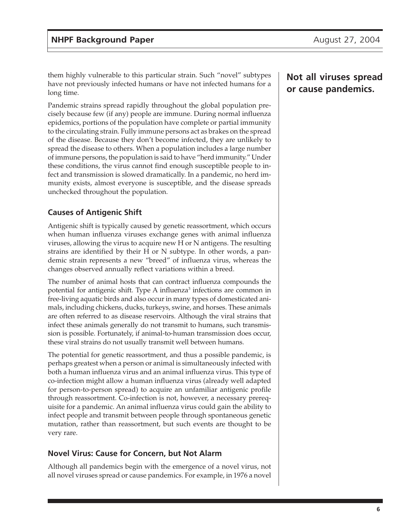them highly vulnerable to this particular strain. Such "novel" subtypes have not previously infected humans or have not infected humans for a long time.

Pandemic strains spread rapidly throughout the global population precisely because few (if any) people are immune. During normal influenza epidemics, portions of the population have complete or partial immunity to the circulating strain. Fully immune persons act as brakes on the spread of the disease. Because they don't become infected, they are unlikely to spread the disease to others. When a population includes a large number of immune persons, the population is said to have "herd immunity." Under these conditions, the virus cannot find enough susceptible people to infect and transmission is slowed dramatically. In a pandemic, no herd immunity exists, almost everyone is susceptible, and the disease spreads unchecked throughout the population.

## **Causes of Antigenic Shift**

Antigenic shift is typically caused by genetic reassortment, which occurs when human influenza viruses exchange genes with animal influenza viruses, allowing the virus to acquire new H or N antigens. The resulting strains are identified by their H or N subtype. In other words, a pandemic strain represents a new "breed" of influenza virus, whereas the changes observed annually reflect variations within a breed.

The number of animal hosts that can contract influenza compounds the potential for antigenic shift. Type A influenza<sup>3</sup> infections are common in free-living aquatic birds and also occur in many types of domesticated animals, including chickens, ducks, turkeys, swine, and horses. These animals are often referred to as disease reservoirs. Although the viral strains that infect these animals generally do not transmit to humans, such transmission is possible. Fortunately, if animal-to-human transmission does occur, these viral strains do not usually transmit well between humans.

The potential for genetic reassortment, and thus a possible pandemic, is perhaps greatest when a person or animal is simultaneously infected with both a human influenza virus and an animal influenza virus. This type of co-infection might allow a human influenza virus (already well adapted for person-to-person spread) to acquire an unfamiliar antigenic profile through reassortment. Co-infection is not, however, a necessary prerequisite for a pandemic. An animal influenza virus could gain the ability to infect people and transmit between people through spontaneous genetic mutation, rather than reassortment, but such events are thought to be very rare.

## **Novel Virus: Cause for Concern, but Not Alarm**

Although all pandemics begin with the emergence of a novel virus, not all novel viruses spread or cause pandemics. For example, in 1976 a novel

# **Not all viruses spread or cause pandemics.**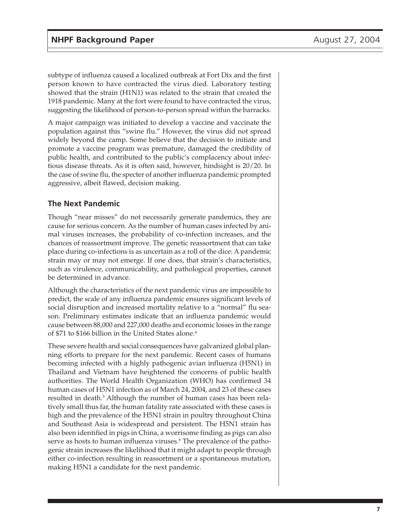subtype of influenza caused a localized outbreak at Fort Dix and the first person known to have contracted the virus died. Laboratory testing showed that the strain (H1N1) was related to the strain that created the 1918 pandemic. Many at the fort were found to have contracted the virus, suggesting the likelihood of person-to-person spread within the barracks.

A major campaign was initiated to develop a vaccine and vaccinate the population against this "swine flu." However, the virus did not spread widely beyond the camp. Some believe that the decision to initiate and promote a vaccine program was premature, damaged the credibility of public health, and contributed to the public's complacency about infectious disease threats. As it is often said, however, hindsight is 20/20. In the case of swine flu, the specter of another influenza pandemic prompted aggressive, albeit flawed, decision making.

## **The Next Pandemic**

Though "near misses" do not necessarily generate pandemics, they are cause for serious concern. As the number of human cases infected by animal viruses increases, the probability of co-infection increases, and the chances of reassortment improve. The genetic reassortment that can take place during co-infections is as uncertain as a roll of the dice: A pandemic strain may or may not emerge. If one does, that strain's characteristics, such as virulence, communicability, and pathological properties, cannot be determined in advance.

Although the characteristics of the next pandemic virus are impossible to predict, the scale of any influenza pandemic ensures significant levels of social disruption and increased mortality relative to a "normal" flu season. Preliminary estimates indicate that an influenza pandemic would cause between 88,000 and 227,000 deaths and economic losses in the range of \$71 to \$166 billion in the United States alone.<sup>4</sup>

These severe health and social consequences have galvanized global planning efforts to prepare for the next pandemic. Recent cases of humans becoming infected with a highly pathogenic avian influenza (H5N1) in Thailand and Vietnam have heightened the concerns of public health authorities. The World Health Organization (WHO) has confirmed 34 human cases of H5N1 infection as of March 24, 2004, and 23 of these cases resulted in death.<sup>5</sup> Although the number of human cases has been relatively small thus far, the human fatality rate associated with these cases is high and the prevalence of the H5N1 strain in poultry throughout China and Southeast Asia is widespread and persistent. The H5N1 strain has also been identified in pigs in China, a worrisome finding as pigs can also serve as hosts to human influenza viruses.<sup>6</sup> The prevalence of the pathogenic strain increases the likelihood that it might adapt to people through either co-infection resulting in reassortment or a spontaneous mutation, making H5N1 a candidate for the next pandemic.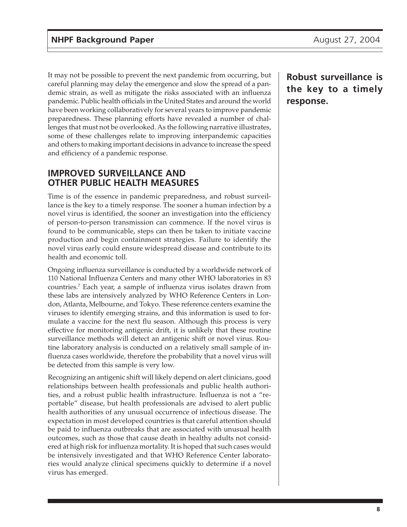It may not be possible to prevent the next pandemic from occurring, but careful planning may delay the emergence and slow the spread of a pandemic strain, as well as mitigate the risks associated with an influenza pandemic. Public health officials in the United States and around the world have been working collaboratively for several years to improve pandemic preparedness. These planning efforts have revealed a number of challenges that must not be overlooked. As the following narrative illustrates, some of these challenges relate to improving interpandemic capacities and others to making important decisions in advance to increase the speed and efficiency of a pandemic response.

# **IMPROVED SURVEILLANCE AND OTHER PUBLIC HEALTH MEASURES**

Time is of the essence in pandemic preparedness, and robust surveillance is the key to a timely response. The sooner a human infection by a novel virus is identified, the sooner an investigation into the efficiency of person-to-person transmission can commence. If the novel virus is found to be communicable, steps can then be taken to initiate vaccine production and begin containment strategies. Failure to identify the novel virus early could ensure widespread disease and contribute to its health and economic toll.

Ongoing influenza surveillance is conducted by a worldwide network of 110 National Influenza Centers and many other WHO laboratories in 83 countries.7 Each year, a sample of influenza virus isolates drawn from these labs are intensively analyzed by WHO Reference Centers in London, Atlanta, Melbourne, and Tokyo. These reference centers examine the viruses to identify emerging strains, and this information is used to formulate a vaccine for the next flu season. Although this process is very effective for monitoring antigenic drift, it is unlikely that these routine surveillance methods will detect an antigenic shift or novel virus. Routine laboratory analysis is conducted on a relatively small sample of influenza cases worldwide, therefore the probability that a novel virus will be detected from this sample is very low.

Recognizing an antigenic shift will likely depend on alert clinicians, good relationships between health professionals and public health authorities, and a robust public health infrastructure. Influenza is not a "reportable" disease, but health professionals are advised to alert public health authorities of any unusual occurrence of infectious disease. The expectation in most developed countries is that careful attention should be paid to influenza outbreaks that are associated with unusual health outcomes, such as those that cause death in healthy adults not considered at high risk for influenza mortality. It is hoped that such cases would be intensively investigated and that WHO Reference Center laboratories would analyze clinical specimens quickly to determine if a novel virus has emerged.

**Robust surveillance is the key to a timely response.**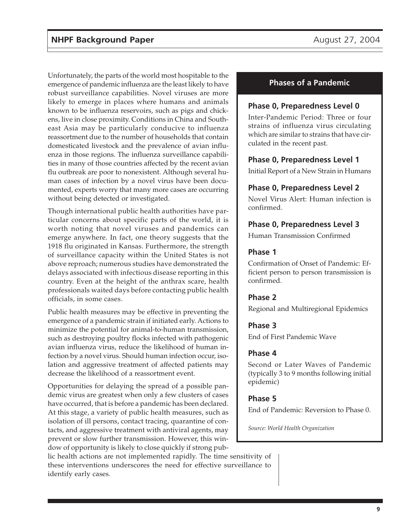Unfortunately, the parts of the world most hospitable to the emergence of pandemic influenza are the least likely to have robust surveillance capabilities. Novel viruses are more likely to emerge in places where humans and animals known to be influenza reservoirs, such as pigs and chickens, live in close proximity. Conditions in China and Southeast Asia may be particularly conducive to influenza reassortment due to the number of households that contain domesticated livestock and the prevalence of avian influenza in those regions. The influenza surveillance capabilities in many of those countries affected by the recent avian flu outbreak are poor to nonexistent. Although several human cases of infection by a novel virus have been documented, experts worry that many more cases are occurring without being detected or investigated.

Though international public health authorities have particular concerns about specific parts of the world, it is worth noting that novel viruses and pandemics can emerge anywhere. In fact, one theory suggests that the 1918 flu originated in Kansas. Furthermore, the strength of surveillance capacity within the United States is not above reproach; numerous studies have demonstrated the delays associated with infectious disease reporting in this country. Even at the height of the anthrax scare, health professionals waited days before contacting public health officials, in some cases.

Public health measures may be effective in preventing the emergence of a pandemic strain if initiated early. Actions to minimize the potential for animal-to-human transmission, such as destroying poultry flocks infected with pathogenic avian influenza virus, reduce the likelihood of human infection by a novel virus. Should human infection occur, isolation and aggressive treatment of affected patients may decrease the likelihood of a reassortment event.

Opportunities for delaying the spread of a possible pandemic virus are greatest when only a few clusters of cases have occurred, that is before a pandemic has been declared. At this stage, a variety of public health measures, such as isolation of ill persons, contact tracing, quarantine of contacts, and aggressive treatment with antiviral agents, may prevent or slow further transmission. However, this window of opportunity is likely to close quickly if strong pub-

lic health actions are not implemented rapidly. The time sensitivity of these interventions underscores the need for effective surveillance to identify early cases.

### **Phases of a Pandemic**

#### **Phase 0, Preparedness Level 0**

Inter-Pandemic Period: Three or four strains of influenza virus circulating which are similar to strains that have circulated in the recent past.

#### **Phase 0, Preparedness Level 1**

Initial Report of a New Strain in Humans

#### **Phase 0, Preparedness Level 2**

Novel Virus Alert: Human infection is confirmed.

#### **Phase 0, Preparedness Level 3**

Human Transmission Confirmed

#### **Phase 1**

Confirmation of Onset of Pandemic: Efficient person to person transmission is confirmed.

#### **Phase 2**

Regional and Multiregional Epidemics

#### **Phase 3**

End of First Pandemic Wave

#### **Phase 4**

Second or Later Waves of Pandemic (typically 3 to 9 months following initial epidemic)

#### **Phase 5**

End of Pandemic: Reversion to Phase 0.

*Source: World Health Organization*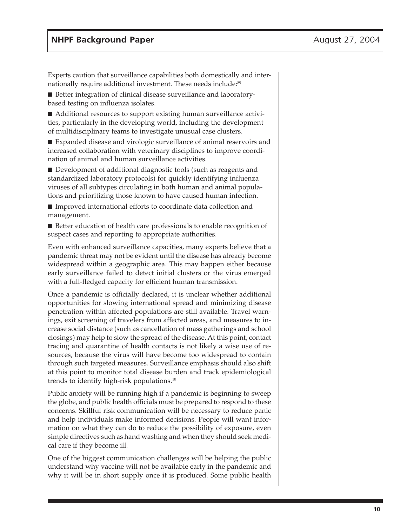Experts caution that surveillance capabilities both domestically and internationally require additional investment. These needs include:<sup>89</sup>

■ Better integration of clinical disease surveillance and laboratorybased testing on influenza isolates.

■ Additional resources to support existing human surveillance activities, particularly in the developing world, including the development of multidisciplinary teams to investigate unusual case clusters.

■ Expanded disease and virologic surveillance of animal reservoirs and increased collaboration with veterinary disciplines to improve coordination of animal and human surveillance activities.

■ Development of additional diagnostic tools (such as reagents and standardized laboratory protocols) for quickly identifying influenza viruses of all subtypes circulating in both human and animal populations and prioritizing those known to have caused human infection.

■ Improved international efforts to coordinate data collection and management.

■ Better education of health care professionals to enable recognition of suspect cases and reporting to appropriate authorities.

Even with enhanced surveillance capacities, many experts believe that a pandemic threat may not be evident until the disease has already become widespread within a geographic area. This may happen either because early surveillance failed to detect initial clusters or the virus emerged with a full-fledged capacity for efficient human transmission.

Once a pandemic is officially declared, it is unclear whether additional opportunities for slowing international spread and minimizing disease penetration within affected populations are still available. Travel warnings, exit screening of travelers from affected areas, and measures to increase social distance (such as cancellation of mass gatherings and school closings) may help to slow the spread of the disease. At this point, contact tracing and quarantine of health contacts is not likely a wise use of resources, because the virus will have become too widespread to contain through such targeted measures. Surveillance emphasis should also shift at this point to monitor total disease burden and track epidemiological trends to identify high-risk populations.10

Public anxiety will be running high if a pandemic is beginning to sweep the globe, and public health officials must be prepared to respond to these concerns. Skillful risk communication will be necessary to reduce panic and help individuals make informed decisions. People will want information on what they can do to reduce the possibility of exposure, even simple directives such as hand washing and when they should seek medical care if they become ill.

One of the biggest communication challenges will be helping the public understand why vaccine will not be available early in the pandemic and why it will be in short supply once it is produced. Some public health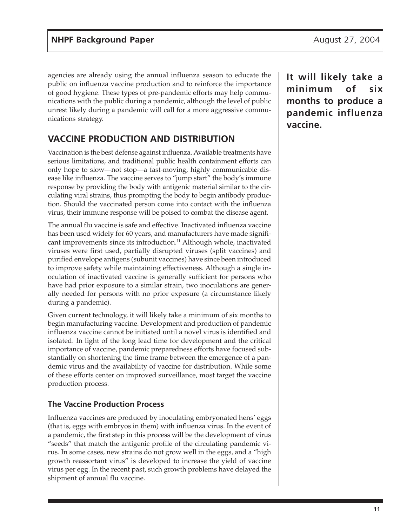agencies are already using the annual influenza season to educate the public on influenza vaccine production and to reinforce the importance of good hygiene. These types of pre-pandemic efforts may help communications with the public during a pandemic, although the level of public unrest likely during a pandemic will call for a more aggressive communications strategy.

# **VACCINE PRODUCTION AND DISTRIBUTION**

Vaccination is the best defense against influenza. Available treatments have serious limitations, and traditional public health containment efforts can only hope to slow—not stop—a fast-moving, highly communicable disease like influenza. The vaccine serves to "jump start" the body's immune response by providing the body with antigenic material similar to the circulating viral strains, thus prompting the body to begin antibody production. Should the vaccinated person come into contact with the influenza virus, their immune response will be poised to combat the disease agent.

The annual flu vaccine is safe and effective. Inactivated influenza vaccine has been used widely for 60 years, and manufacturers have made significant improvements since its introduction.<sup>11</sup> Although whole, inactivated viruses were first used, partially disrupted viruses (split vaccines) and purified envelope antigens (subunit vaccines) have since been introduced to improve safety while maintaining effectiveness. Although a single inoculation of inactivated vaccine is generally sufficient for persons who have had prior exposure to a similar strain, two inoculations are generally needed for persons with no prior exposure (a circumstance likely during a pandemic).

Given current technology, it will likely take a minimum of six months to begin manufacturing vaccine. Development and production of pandemic influenza vaccine cannot be initiated until a novel virus is identified and isolated. In light of the long lead time for development and the critical importance of vaccine, pandemic preparedness efforts have focused substantially on shortening the time frame between the emergence of a pandemic virus and the availability of vaccine for distribution. While some of these efforts center on improved surveillance, most target the vaccine production process.

## **The Vaccine Production Process**

Influenza vaccines are produced by inoculating embryonated hens' eggs (that is, eggs with embryos in them) with influenza virus. In the event of a pandemic, the first step in this process will be the development of virus "seeds" that match the antigenic profile of the circulating pandemic virus. In some cases, new strains do not grow well in the eggs, and a "high growth reassortant virus" is developed to increase the yield of vaccine virus per egg. In the recent past, such growth problems have delayed the shipment of annual flu vaccine.

**It will likely take a minimum of six months to produce a pandemic influenza vaccine.**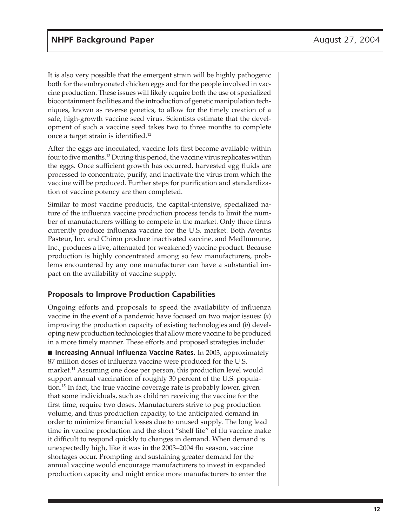It is also very possible that the emergent strain will be highly pathogenic both for the embryonated chicken eggs and for the people involved in vaccine production. These issues will likely require both the use of specialized biocontainment facilities and the introduction of genetic manipulation techniques, known as reverse genetics, to allow for the timely creation of a safe, high-growth vaccine seed virus. Scientists estimate that the development of such a vaccine seed takes two to three months to complete once a target strain is identified.12

After the eggs are inoculated, vaccine lots first become available within four to five months.13 During this period, the vaccine virus replicates within the eggs. Once sufficient growth has occurred, harvested egg fluids are processed to concentrate, purify, and inactivate the virus from which the vaccine will be produced. Further steps for purification and standardization of vaccine potency are then completed.

Similar to most vaccine products, the capital-intensive, specialized nature of the influenza vaccine production process tends to limit the number of manufacturers willing to compete in the market. Only three firms currently produce influenza vaccine for the U.S. market. Both Aventis Pasteur, Inc. and Chiron produce inactivated vaccine, and MedImmune, Inc., produces a live, attenuated (or weakened) vaccine product. Because production is highly concentrated among so few manufacturers, problems encountered by any one manufacturer can have a substantial impact on the availability of vaccine supply.

## **Proposals to Improve Production Capabilities**

Ongoing efforts and proposals to speed the availability of influenza vaccine in the event of a pandemic have focused on two major issues: (*a*) improving the production capacity of existing technologies and (*b*) developing new production technologies that allow more vaccine to be produced in a more timely manner. These efforts and proposed strategies include:

■ **Increasing Annual Influenza Vaccine Rates.** In 2003, approximately 87 million doses of influenza vaccine were produced for the U.S. market.14 Assuming one dose per person, this production level would support annual vaccination of roughly 30 percent of the U.S. population.15 In fact, the true vaccine coverage rate is probably lower, given that some individuals, such as children receiving the vaccine for the first time, require two doses. Manufacturers strive to peg production volume, and thus production capacity, to the anticipated demand in order to minimize financial losses due to unused supply. The long lead time in vaccine production and the short "shelf life" of flu vaccine make it difficult to respond quickly to changes in demand. When demand is unexpectedly high, like it was in the 2003–2004 flu season, vaccine shortages occur. Prompting and sustaining greater demand for the annual vaccine would encourage manufacturers to invest in expanded production capacity and might entice more manufacturers to enter the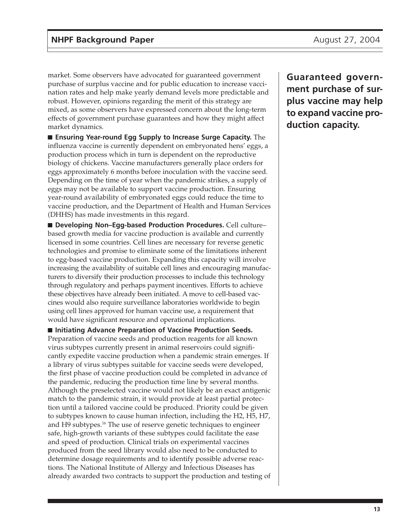market. Some observers have advocated for guaranteed government purchase of surplus vaccine and for public education to increase vaccination rates and help make yearly demand levels more predictable and robust. However, opinions regarding the merit of this strategy are mixed, as some observers have expressed concern about the long-term effects of government purchase guarantees and how they might affect market dynamics.

■ **Ensuring Year-round Egg Supply to Increase Surge Capacity.** The influenza vaccine is currently dependent on embryonated hens' eggs, a production process which in turn is dependent on the reproductive biology of chickens. Vaccine manufacturers generally place orders for eggs approximately 6 months before inoculation with the vaccine seed. Depending on the time of year when the pandemic strikes, a supply of eggs may not be available to support vaccine production. Ensuring year-round availability of embryonated eggs could reduce the time to vaccine production, and the Department of Health and Human Services (DHHS) has made investments in this regard.

■ **Developing Non–Egg-based Production Procedures.** Cell culture– based growth media for vaccine production is available and currently licensed in some countries. Cell lines are necessary for reverse genetic technologies and promise to eliminate some of the limitations inherent to egg-based vaccine production. Expanding this capacity will involve increasing the availability of suitable cell lines and encouraging manufacturers to diversify their production processes to include this technology through regulatory and perhaps payment incentives. Efforts to achieve these objectives have already been initiated. A move to cell-based vaccines would also require surveillance laboratories worldwide to begin using cell lines approved for human vaccine use, a requirement that would have significant resource and operational implications.

■ **Initiating Advance Preparation of Vaccine Production Seeds.** Preparation of vaccine seeds and production reagents for all known virus subtypes currently present in animal reservoirs could significantly expedite vaccine production when a pandemic strain emerges. If a library of virus subtypes suitable for vaccine seeds were developed, the first phase of vaccine production could be completed in advance of the pandemic, reducing the production time line by several months. Although the preselected vaccine would not likely be an exact antigenic match to the pandemic strain, it would provide at least partial protection until a tailored vaccine could be produced. Priority could be given to subtypes known to cause human infection, including the H2, H5, H7, and H9 subtypes.<sup>16</sup> The use of reserve genetic techniques to engineer safe, high-growth variants of these subtypes could facilitate the ease and speed of production. Clinical trials on experimental vaccines produced from the seed library would also need to be conducted to determine dosage requirements and to identify possible adverse reactions. The National Institute of Allergy and Infectious Diseases has already awarded two contracts to support the production and testing of

**Guaranteed government purchase of surplus vaccine may help to expand vaccine production capacity.**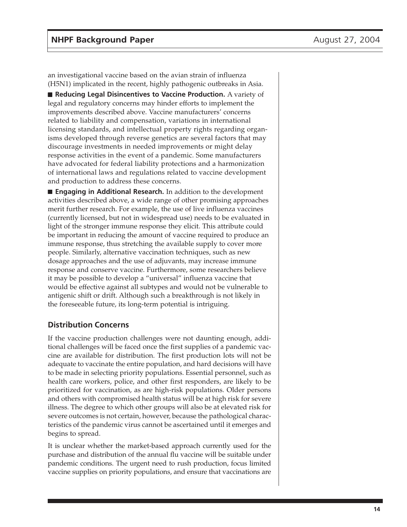an investigational vaccine based on the avian strain of influenza (H5N1) implicated in the recent, highly pathogenic outbreaks in Asia.

■ **Reducing Legal Disincentives to Vaccine Production.** A variety of legal and regulatory concerns may hinder efforts to implement the improvements described above. Vaccine manufacturers' concerns related to liability and compensation, variations in international licensing standards, and intellectual property rights regarding organisms developed through reverse genetics are several factors that may discourage investments in needed improvements or might delay response activities in the event of a pandemic. Some manufacturers have advocated for federal liability protections and a harmonization of international laws and regulations related to vaccine development and production to address these concerns.

■ **Engaging in Additional Research.** In addition to the development activities described above, a wide range of other promising approaches merit further research. For example, the use of live influenza vaccines (currently licensed, but not in widespread use) needs to be evaluated in light of the stronger immune response they elicit. This attribute could be important in reducing the amount of vaccine required to produce an immune response, thus stretching the available supply to cover more people. Similarly, alternative vaccination techniques, such as new dosage approaches and the use of adjuvants, may increase immune response and conserve vaccine. Furthermore, some researchers believe it may be possible to develop a "universal" influenza vaccine that would be effective against all subtypes and would not be vulnerable to antigenic shift or drift. Although such a breakthrough is not likely in the foreseeable future, its long-term potential is intriguing.

### **Distribution Concerns**

If the vaccine production challenges were not daunting enough, additional challenges will be faced once the first supplies of a pandemic vaccine are available for distribution. The first production lots will not be adequate to vaccinate the entire population, and hard decisions will have to be made in selecting priority populations. Essential personnel, such as health care workers, police, and other first responders, are likely to be prioritized for vaccination, as are high-risk populations. Older persons and others with compromised health status will be at high risk for severe illness. The degree to which other groups will also be at elevated risk for severe outcomes is not certain, however, because the pathological characteristics of the pandemic virus cannot be ascertained until it emerges and begins to spread.

It is unclear whether the market-based approach currently used for the purchase and distribution of the annual flu vaccine will be suitable under pandemic conditions. The urgent need to rush production, focus limited vaccine supplies on priority populations, and ensure that vaccinations are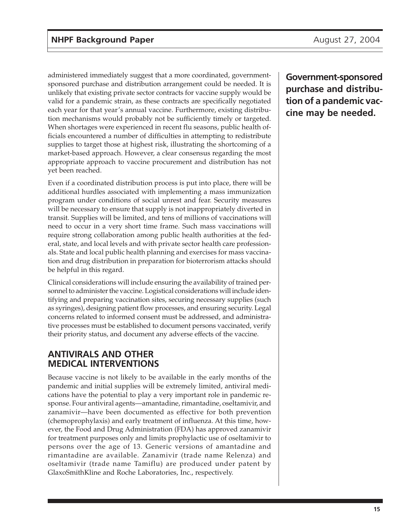administered immediately suggest that a more coordinated, governmentsponsored purchase and distribution arrangement could be needed. It is unlikely that existing private sector contracts for vaccine supply would be valid for a pandemic strain, as these contracts are specifically negotiated each year for that year's annual vaccine. Furthermore, existing distribution mechanisms would probably not be sufficiently timely or targeted. When shortages were experienced in recent flu seasons, public health officials encountered a number of difficulties in attempting to redistribute supplies to target those at highest risk, illustrating the shortcoming of a market-based approach. However, a clear consensus regarding the most appropriate approach to vaccine procurement and distribution has not yet been reached.

Even if a coordinated distribution process is put into place, there will be additional hurdles associated with implementing a mass immunization program under conditions of social unrest and fear. Security measures will be necessary to ensure that supply is not inappropriately diverted in transit. Supplies will be limited, and tens of millions of vaccinations will need to occur in a very short time frame. Such mass vaccinations will require strong collaboration among public health authorities at the federal, state, and local levels and with private sector health care professionals. State and local public health planning and exercises for mass vaccination and drug distribution in preparation for bioterrorism attacks should be helpful in this regard.

Clinical considerations will include ensuring the availability of trained personnel to administer the vaccine. Logistical considerations will include identifying and preparing vaccination sites, securing necessary supplies (such as syringes), designing patient flow processes, and ensuring security. Legal concerns related to informed consent must be addressed, and administrative processes must be established to document persons vaccinated, verify their priority status, and document any adverse effects of the vaccine.

# **ANTIVIRALS AND OTHER MEDICAL INTERVENTIONS**

Because vaccine is not likely to be available in the early months of the pandemic and initial supplies will be extremely limited, antiviral medications have the potential to play a very important role in pandemic response. Four antiviral agents—amantadine, rimantadine, oseltamivir, and zanamivir—have been documented as effective for both prevention (chemoprophylaxis) and early treatment of influenza. At this time, however, the Food and Drug Administration (FDA) has approved zanamivir for treatment purposes only and limits prophylactic use of oseltamivir to persons over the age of 13. Generic versions of amantadine and rimantadine are available. Zanamivir (trade name Relenza) and oseltamivir (trade name Tamiflu) are produced under patent by GlaxoSmithKline and Roche Laboratories, Inc., respectively.

**Government-sponsored purchase and distribution of a pandemic vaccine may be needed.**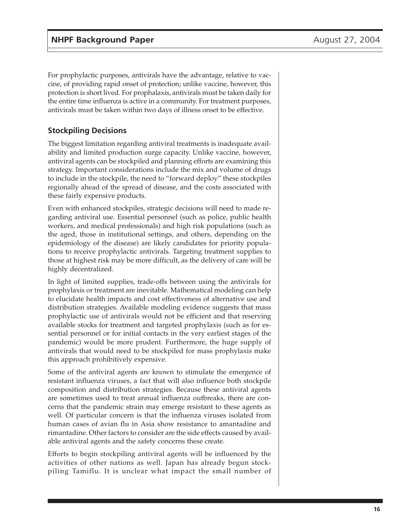For prophylactic purposes, antivirals have the advantage, relative to vaccine, of providing rapid onset of protection; unlike vaccine, however, this protection is short lived. For prophalaxis, antivirals must be taken daily for the entire time influenza is active in a community. For treatment purposes, antivirals must be taken within two days of illness onset to be effective.

## **Stockpiling Decisions**

The biggest limitation regarding antiviral treatments is inadequate availability and limited production surge capacity. Unlike vaccine, however, antiviral agents can be stockpiled and planning efforts are examining this strategy. Important considerations include the mix and volume of drugs to include in the stockpile, the need to "forward deploy" these stockpiles regionally ahead of the spread of disease, and the costs associated with these fairly expensive products.

Even with enhanced stockpiles, strategic decisions will need to made regarding antiviral use. Essential personnel (such as police, public health workers, and medical professionals) and high risk populations (such as the aged, those in institutional settings, and others, depending on the epidemiology of the disease) are likely candidates for priority populations to receive prophylactic antivirals. Targeting treatment supplies to those at highest risk may be more difficult, as the delivery of care will be highly decentralized.

In light of limited supplies, trade-offs between using the antivirals for prophylaxis or treatment are inevitable. Mathematical modeling can help to elucidate health impacts and cost effectiveness of alternative use and distribution strategies. Available modeling evidence suggests that mass prophylactic use of antivirals would not be efficient and that reserving available stocks for treatment and targeted prophylaxis (such as for essential personnel or for initial contacts in the very earliest stages of the pandemic) would be more prudent. Furthermore, the huge supply of antivirals that would need to be stockpiled for mass prophylaxis make this approach prohibitively expensive.

Some of the antiviral agents are known to stimulate the emergence of resistant influenza viruses, a fact that will also influence both stockpile composition and distribution strategies. Because these antiviral agents are sometimes used to treat annual influenza outbreaks, there are concerns that the pandemic strain may emerge resistant to these agents as well. Of particular concern is that the influenza viruses isolated from human cases of avian flu in Asia show resistance to amantadine and rimantadine. Other factors to consider are the side effects caused by available antiviral agents and the safety concerns these create.

Efforts to begin stockpiling antiviral agents will be influenced by the activities of other nations as well. Japan has already begun stockpiling Tamiflu. It is unclear what impact the small number of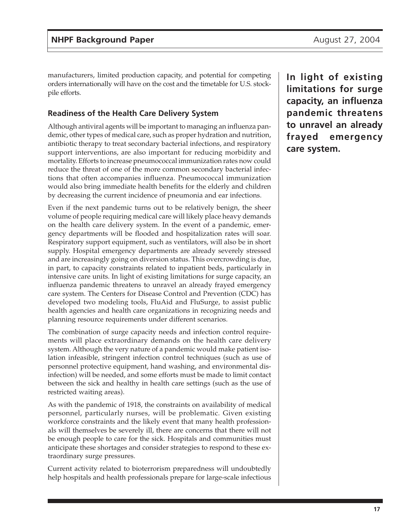manufacturers, limited production capacity, and potential for competing orders internationally will have on the cost and the timetable for U.S. stockpile efforts.

## **Readiness of the Health Care Delivery System**

Although antiviral agents will be important to managing an influenza pandemic, other types of medical care, such as proper hydration and nutrition, antibiotic therapy to treat secondary bacterial infections, and respiratory support interventions, are also important for reducing morbidity and mortality. Efforts to increase pneumococcal immunization rates now could reduce the threat of one of the more common secondary bacterial infections that often accompanies influenza. Pneumococcal immunization would also bring immediate health benefits for the elderly and children by decreasing the current incidence of pneumonia and ear infections.

Even if the next pandemic turns out to be relatively benign, the sheer volume of people requiring medical care will likely place heavy demands on the health care delivery system. In the event of a pandemic, emergency departments will be flooded and hospitalization rates will soar. Respiratory support equipment, such as ventilators, will also be in short supply. Hospital emergency departments are already severely stressed and are increasingly going on diversion status. This overcrowding is due, in part, to capacity constraints related to inpatient beds, particularly in intensive care units. In light of existing limitations for surge capacity, an influenza pandemic threatens to unravel an already frayed emergency care system. The Centers for Disease Control and Prevention (CDC) has developed two modeling tools, FluAid and FluSurge, to assist public health agencies and health care organizations in recognizing needs and planning resource requirements under different scenarios.

The combination of surge capacity needs and infection control requirements will place extraordinary demands on the health care delivery system. Although the very nature of a pandemic would make patient isolation infeasible, stringent infection control techniques (such as use of personnel protective equipment, hand washing, and environmental disinfection) will be needed, and some efforts must be made to limit contact between the sick and healthy in health care settings (such as the use of restricted waiting areas).

As with the pandemic of 1918, the constraints on availability of medical personnel, particularly nurses, will be problematic. Given existing workforce constraints and the likely event that many health professionals will themselves be severely ill, there are concerns that there will not be enough people to care for the sick. Hospitals and communities must anticipate these shortages and consider strategies to respond to these extraordinary surge pressures.

Current activity related to bioterrorism preparedness will undoubtedly help hospitals and health professionals prepare for large-scale infectious **In light of existing limitations for surge capacity, an influenza pandemic threatens to unravel an already frayed emergency care system.**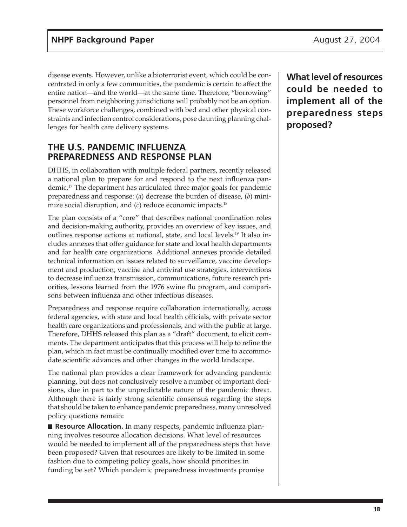disease events. However, unlike a bioterrorist event, which could be concentrated in only a few communities, the pandemic is certain to affect the entire nation—and the world—at the same time. Therefore, "borrowing" personnel from neighboring jurisdictions will probably not be an option. These workforce challenges, combined with bed and other physical constraints and infection control considerations, pose daunting planning challenges for health care delivery systems.

# **THE U.S. PANDEMIC INFLUENZA PREPAREDNESS AND RESPONSE PLAN**

DHHS, in collaboration with multiple federal partners, recently released a national plan to prepare for and respond to the next influenza pandemic.17 The department has articulated three major goals for pandemic preparedness and response: (*a*) decrease the burden of disease, (*b*) minimize social disruption, and (*c*) reduce economic impacts.18

The plan consists of a "core" that describes national coordination roles and decision-making authority, provides an overview of key issues, and outlines response actions at national, state, and local levels.<sup>19</sup> It also includes annexes that offer guidance for state and local health departments and for health care organizations. Additional annexes provide detailed technical information on issues related to surveillance, vaccine development and production, vaccine and antiviral use strategies, interventions to decrease influenza transmission, communications, future research priorities, lessons learned from the 1976 swine flu program, and comparisons between influenza and other infectious diseases.

Preparedness and response require collaboration internationally, across federal agencies, with state and local health officials, with private sector health care organizations and professionals, and with the public at large. Therefore, DHHS released this plan as a "draft" document, to elicit comments. The department anticipates that this process will help to refine the plan, which in fact must be continually modified over time to accommodate scientific advances and other changes in the world landscape.

The national plan provides a clear framework for advancing pandemic planning, but does not conclusively resolve a number of important decisions, due in part to the unpredictable nature of the pandemic threat. Although there is fairly strong scientific consensus regarding the steps that should be taken to enhance pandemic preparedness, many unresolved policy questions remain:

■ **Resource Allocation.** In many respects, pandemic influenza planning involves resource allocation decisions. What level of resources would be needed to implement all of the preparedness steps that have been proposed? Given that resources are likely to be limited in some fashion due to competing policy goals, how should priorities in funding be set? Which pandemic preparedness investments promise

**What level of resources could be needed to implement all of the preparedness steps proposed?**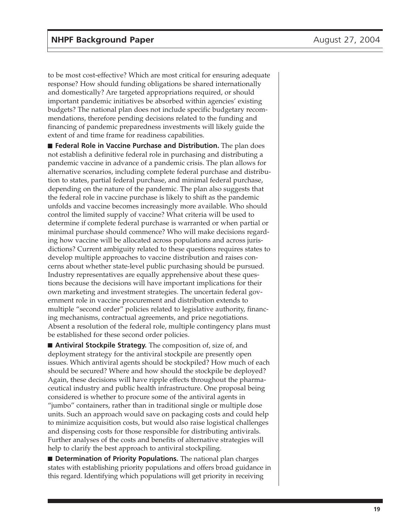to be most cost-effective? Which are most critical for ensuring adequate response? How should funding obligations be shared internationally and domestically? Are targeted appropriations required, or should important pandemic initiatives be absorbed within agencies' existing budgets? The national plan does not include specific budgetary recommendations, therefore pending decisions related to the funding and financing of pandemic preparedness investments will likely guide the extent of and time frame for readiness capabilities.

■ **Federal Role in Vaccine Purchase and Distribution.** The plan does not establish a definitive federal role in purchasing and distributing a pandemic vaccine in advance of a pandemic crisis. The plan allows for alternative scenarios, including complete federal purchase and distribution to states, partial federal purchase, and minimal federal purchase, depending on the nature of the pandemic. The plan also suggests that the federal role in vaccine purchase is likely to shift as the pandemic unfolds and vaccine becomes increasingly more available. Who should control the limited supply of vaccine? What criteria will be used to determine if complete federal purchase is warranted or when partial or minimal purchase should commence? Who will make decisions regarding how vaccine will be allocated across populations and across jurisdictions? Current ambiguity related to these questions requires states to develop multiple approaches to vaccine distribution and raises concerns about whether state-level public purchasing should be pursued. Industry representatives are equally apprehensive about these questions because the decisions will have important implications for their own marketing and investment strategies. The uncertain federal government role in vaccine procurement and distribution extends to multiple "second order" policies related to legislative authority, financing mechanisms, contractual agreements, and price negotiations. Absent a resolution of the federal role, multiple contingency plans must be established for these second order policies.

■ **Antiviral Stockpile Strategy.** The composition of, size of, and deployment strategy for the antiviral stockpile are presently open issues. Which antiviral agents should be stockpiled? How much of each should be secured? Where and how should the stockpile be deployed? Again, these decisions will have ripple effects throughout the pharmaceutical industry and public health infrastructure. One proposal being considered is whether to procure some of the antiviral agents in "jumbo" containers, rather than in traditional single or multiple dose units. Such an approach would save on packaging costs and could help to minimize acquisition costs, but would also raise logistical challenges and dispensing costs for those responsible for distributing antivirals. Further analyses of the costs and benefits of alternative strategies will help to clarify the best approach to antiviral stockpiling.

■ **Determination of Priority Populations.** The national plan charges states with establishing priority populations and offers broad guidance in this regard. Identifying which populations will get priority in receiving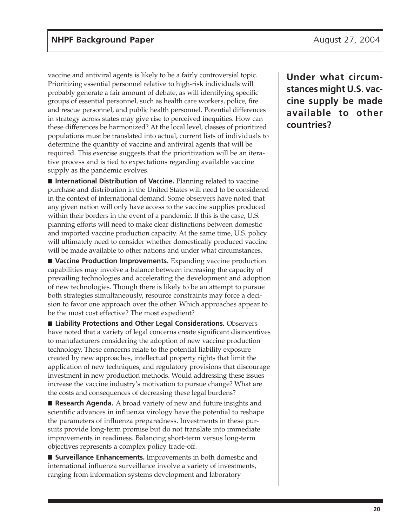vaccine and antiviral agents is likely to be a fairly controversial topic. Prioritizing essential personnel relative to high-risk individuals will probably generate a fair amount of debate, as will identifying specific groups of essential personnel, such as health care workers, police, fire and rescue personnel, and public health personnel. Potential differences in strategy across states may give rise to perceived inequities. How can these differences be harmonized? At the local level, classes of prioritized populations must be translated into actual, current lists of individuals to determine the quantity of vaccine and antiviral agents that will be required. This exercise suggests that the prioritization will be an iterative process and is tied to expectations regarding available vaccine supply as the pandemic evolves.

■ **International Distribution of Vaccine.** Planning related to vaccine purchase and distribution in the United States will need to be considered in the context of international demand. Some observers have noted that any given nation will only have access to the vaccine supplies produced within their borders in the event of a pandemic. If this is the case, U.S. planning efforts will need to make clear distinctions between domestic and imported vaccine production capacity. At the same time, U.S. policy will ultimately need to consider whether domestically produced vaccine will be made available to other nations and under what circumstances.

■ **Vaccine Production Improvements.** Expanding vaccine production capabilities may involve a balance between increasing the capacity of prevailing technologies and accelerating the development and adoption of new technologies. Though there is likely to be an attempt to pursue both strategies simultaneously, resource constraints may force a decision to favor one approach over the other. Which approaches appear to be the most cost effective? The most expedient?

■ Liability Protections and Other Legal Considerations. Observers have noted that a variety of legal concerns create significant disincentives to manufacturers considering the adoption of new vaccine production technology. These concerns relate to the potential liability exposure created by new approaches, intellectual property rights that limit the application of new techniques, and regulatory provisions that discourage investment in new production methods. Would addressing these issues increase the vaccine industry's motivation to pursue change? What are the costs and consequences of decreasing these legal burdens?

■ **Research Agenda.** A broad variety of new and future insights and scientific advances in influenza virology have the potential to reshape the parameters of influenza preparedness. Investments in these pursuits provide long-term promise but do not translate into immediate improvements in readiness. Balancing short-term versus long-term objectives represents a complex policy trade-off.

■ **Surveillance Enhancements.** Improvements in both domestic and international influenza surveillance involve a variety of investments, ranging from information systems development and laboratory

**Under what circumstances might U.S. vaccine supply be made available to other countries?**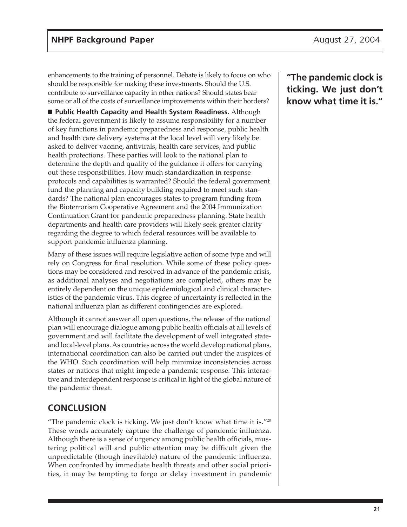enhancements to the training of personnel. Debate is likely to focus on who should be responsible for making these investments. Should the U.S. contribute to surveillance capacity in other nations? Should states bear some or all of the costs of surveillance improvements within their borders?

■ **Public Health Capacity and Health System Readiness.** Although the federal government is likely to assume responsibility for a number of key functions in pandemic preparedness and response, public health and health care delivery systems at the local level will very likely be asked to deliver vaccine, antivirals, health care services, and public health protections. These parties will look to the national plan to determine the depth and quality of the guidance it offers for carrying out these responsibilities. How much standardization in response protocols and capabilities is warranted? Should the federal government fund the planning and capacity building required to meet such standards? The national plan encourages states to program funding from the Bioterrorism Cooperative Agreement and the 2004 Immunization Continuation Grant for pandemic preparedness planning. State health departments and health care providers will likely seek greater clarity regarding the degree to which federal resources will be available to support pandemic influenza planning.

Many of these issues will require legislative action of some type and will rely on Congress for final resolution. While some of these policy questions may be considered and resolved in advance of the pandemic crisis, as additional analyses and negotiations are completed, others may be entirely dependent on the unique epidemiological and clinical characteristics of the pandemic virus. This degree of uncertainty is reflected in the national influenza plan as different contingencies are explored.

Although it cannot answer all open questions, the release of the national plan will encourage dialogue among public health officials at all levels of government and will facilitate the development of well integrated stateand local-level plans. As countries across the world develop national plans, international coordination can also be carried out under the auspices of the WHO. Such coordination will help minimize inconsistencies across states or nations that might impede a pandemic response. This interactive and interdependent response is critical in light of the global nature of the pandemic threat.

# **CONCLUSION**

"The pandemic clock is ticking. We just don't know what time it is." $20$ These words accurately capture the challenge of pandemic influenza. Although there is a sense of urgency among public health officials, mustering political will and public attention may be difficult given the unpredictable (though inevitable) nature of the pandemic influenza. When confronted by immediate health threats and other social priorities, it may be tempting to forgo or delay investment in pandemic

**"The pandemic clock is ticking. We just don't know what time it is."**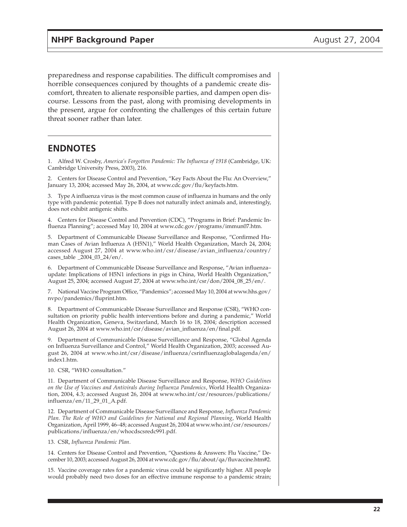preparedness and response capabilities. The difficult compromises and horrible consequences conjured by thoughts of a pandemic create discomfort, threaten to alienate responsible parties, and dampen open discourse. Lessons from the past, along with promising developments in the present, argue for confronting the challenges of this certain future threat sooner rather than later.

### **ENDNOTES**

1. Alfred W. Crosby, *America's Forgotten Pandemic: The Influenza of 1918* (Cambridge, UK: Cambridge University Press, 2003), 216.

2. Centers for Disease Control and Prevention, "Key Facts About the Flu: An Overview," January 13, 2004; accessed May 26, 2004, at www.cdc.gov/flu/keyfacts.htm.

3. Type A influenza virus is the most common cause of influenza in humans and the only type with pandemic potential. Type B does not naturally infect animals and, interestingly, does not exhibit antigenic shifts.

4. Centers for Disease Control and Prevention (CDC), "Programs in Brief: Pandemic Influenza Planning"; accessed May 10, 2004 at www.cdc.gov/programs/immun07.htm.

5. Department of Communicable Disease Surveillance and Response, "Confirmed Human Cases of Avian Influenza A (H5N1)," World Health Organization, March 24, 2004; accessed August 27, 2004 at www.who.int/csr/disease/avian\_influenza/country/ cases\_table \_2004\_03\_24/en/.

6. Department of Communicable Disease Surveillance and Response, "Avian influenza– update: Implications of H5N1 infections in pigs in China, World Health Organization," August 25, 2004; accessed August 27, 2004 at www.who.int/csr/don/2004\_08\_25/en/.

7. National Vaccine Program Office, "Pandemics"; accessed May 10, 2004 at www.hhs.gov/ nvpo/pandemics/fluprint.htm.

8. Department of Communicable Disease Surveillance and Response (CSR), "WHO consultation on priority public health interventions before and during a pandemic," World Health Organization, Geneva, Switzerland, March 16 to 18, 2004; description accessed August 26, 2004 at www.who.int/csr/disease/avian\_influenza/en/final.pdf.

9. Department of Communicable Disease Surveillance and Response, "Global Agenda on Influenza Surveillance and Control," World Health Organization, 2003; accessed August 26, 2004 at www.who.int/csr/disease/influenza/csrinfluenzaglobalagenda/en/ index1.htm.

10. CSR, "WHO consultation."

11. Department of Communicable Disease Surveillance and Response, *WHO Guidelines on the Use of Vaccines and Antivirals during Influenza Pandemics*, World Health Organization, 2004, 4.3; accessed August 26, 2004 at www.who.int/csr/resources/publications/ influenza/en/11\_29\_01\_A.pdf.

12. Department of Communicable Disease Surveillance and Response, *Influenza Pandemic Plan. The Role of WHO and Guidelines for National and Regional Planning*, World Health Organization, April 1999, 46–48; accessed August 26, 2004 at www.who.int/csr/resources/ publications/influenza/en/whocdscsredc991.pdf.

13. CSR, *Influenza Pandemic Plan*.

14. Centers for Disease Control and Prevention, "Questions & Answers: Flu Vaccine," December 10, 2003; accessed August 26, 2004 at www.cdc.gov/flu/about/qa/fluvaccine.htm#2.

15. Vaccine coverage rates for a pandemic virus could be significantly higher. All people would probably need two doses for an effective immune response to a pandemic strain;